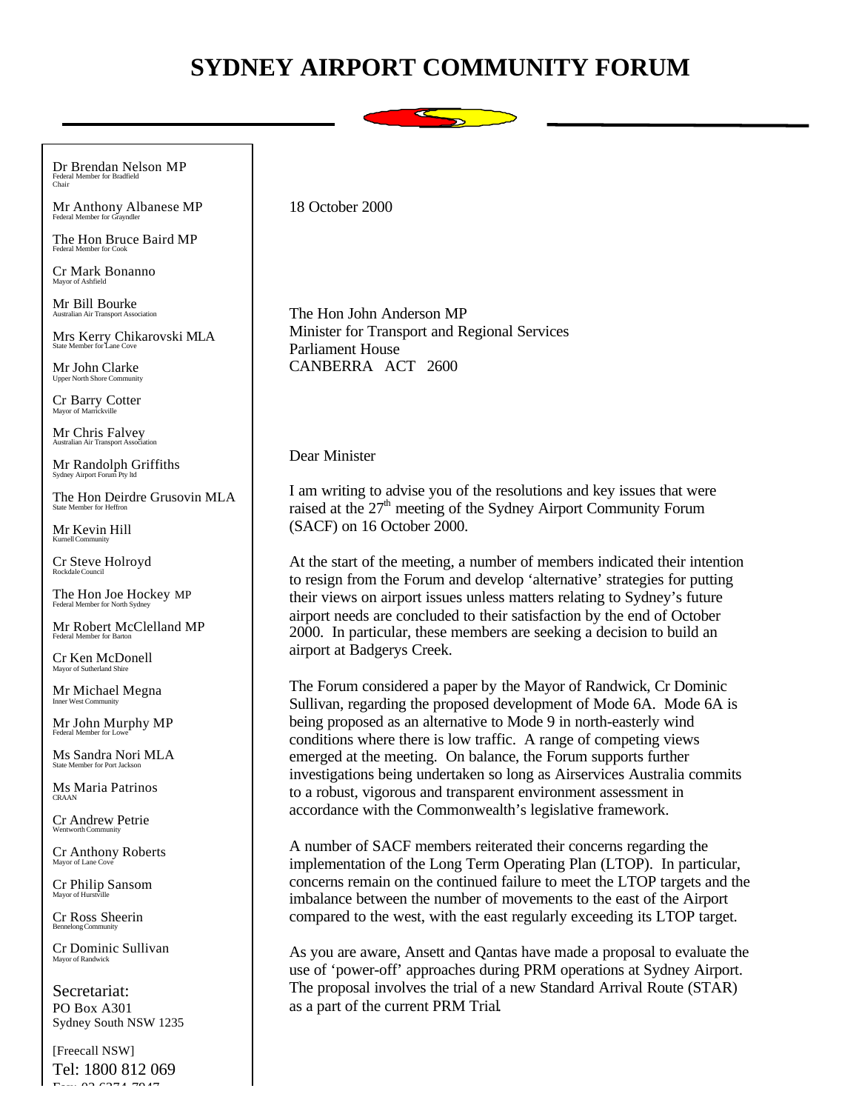## **SYDNEY AIRPORT COMMUNITY FORUM**



Dr Brendan Nelson MP Federal Member for Bradfield Chair

Mr Anthony Albanese MP Federal Member for G

The Hon Bruce Baird MP Federal Member for Cook

Cr Mark Bonanno Mayor of Ashfield

Mr Bill Bourke .<br>Aciation

Mrs Kerry Chikarovski MLA

Mr John Clarke Upper North Shore Con

Cr Barry Cotter Mayor of Marrickville

Mr Chris Falvey Australian Air Transport Association

Mr Randolph Griffiths Sydney Airport Forum Pty ltd

The Hon Deirdre Grusovin MLA State Member for Heffron

Mr Kevin Hill Kurnell Community

Cr Steve Holroyd Rockdale Council

The Hon Joe Hockey MP Federal Member for North Syd

Mr Robert McClelland MP Federal Member for Barton

Cr Ken McDonell Mayor of Sutherland Shire

Mr Michael Megna Inner West Communi

Mr John Murphy MP Federal Member for Lowe

Ms Sandra Nori MLA er for Port Jacks

Ms Maria Patrinos CRAAN

Cr Andrew Petrie Wentworth Community

Cr Anthony Roberts Mayor of Lane Cov

Cr Philip Sansom Mayor of Hurstville

Cr Ross Sheerin Bennelong Community

Cr Dominic Sullivan Mayor of Randwick

Secretariat: PO Box A301 Sydney South NSW 1235

[Freecall NSW] Tel: 1800 812 069  $62.6274.7947$ 

18 October 2000

The Hon John Anderson MP Minister for Transport and Regional Services Parliament House CANBERRA ACT 2600

## Dear Minister

I am writing to advise you of the resolutions and key issues that were raised at the  $27<sup>th</sup>$  meeting of the Sydney Airport Community Forum (SACF) on 16 October 2000.

At the start of the meeting, a number of members indicated their intention to resign from the Forum and develop 'alternative' strategies for putting their views on airport issues unless matters relating to Sydney's future airport needs are concluded to their satisfaction by the end of October 2000. In particular, these members are seeking a decision to build an airport at Badgerys Creek.

The Forum considered a paper by the Mayor of Randwick, Cr Dominic Sullivan, regarding the proposed development of Mode 6A. Mode 6A is being proposed as an alternative to Mode 9 in north-easterly wind conditions where there is low traffic. A range of competing views emerged at the meeting. On balance, the Forum supports further investigations being undertaken so long as Airservices Australia commits to a robust, vigorous and transparent environment assessment in accordance with the Commonwealth's legislative framework.

A number of SACF members reiterated their concerns regarding the implementation of the Long Term Operating Plan (LTOP). In particular, concerns remain on the continued failure to meet the LTOP targets and the imbalance between the number of movements to the east of the Airport compared to the west, with the east regularly exceeding its LTOP target.

As you are aware, Ansett and Qantas have made a proposal to evaluate the use of 'power-off' approaches during PRM operations at Sydney Airport. The proposal involves the trial of a new Standard Arrival Route (STAR) as a part of the current PRM Trial.